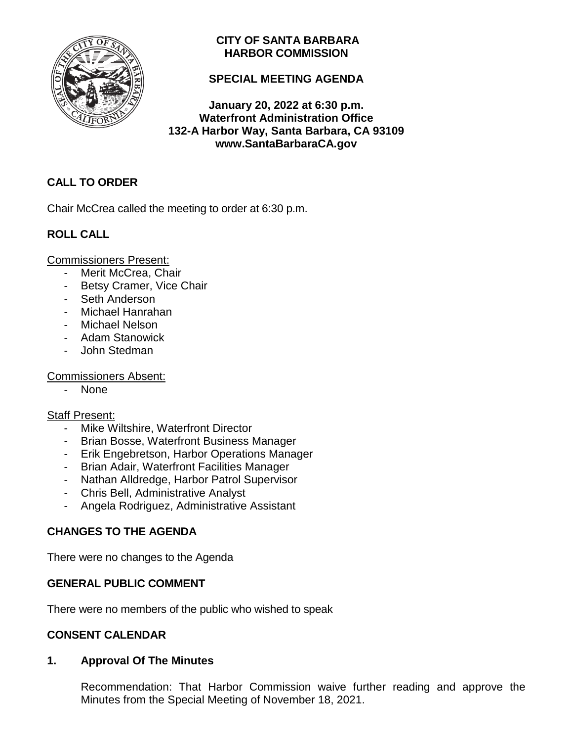

## **CITY OF SANTA BARBARA HARBOR COMMISSION**

## **SPECIAL MEETING AGENDA**

**January 20, 2022 at 6:30 p.m. Waterfront Administration Office 132-A Harbor Way, Santa Barbara, CA 93109 www.SantaBarbaraCA.gov**

## **CALL TO ORDER**

Chair McCrea called the meeting to order at 6:30 p.m.

# **ROLL CALL**

Commissioners Present:

- Merit McCrea, Chair
- Betsy Cramer, Vice Chair
- Seth Anderson
- Michael Hanrahan
- Michael Nelson
- Adam Stanowick
- John Stedman

### Commissioners Absent:

- None

## Staff Present:

- Mike Wiltshire, Waterfront Director
- Brian Bosse, Waterfront Business Manager
- Erik Engebretson, Harbor Operations Manager
- Brian Adair, Waterfront Facilities Manager
- Nathan Alldredge, Harbor Patrol Supervisor
- Chris Bell, Administrative Analyst
- Angela Rodriguez, Administrative Assistant

# **CHANGES TO THE AGENDA**

There were no changes to the Agenda

## **GENERAL PUBLIC COMMENT**

There were no members of the public who wished to speak

## **CONSENT CALENDAR**

## **1. Approval Of The Minutes**

Recommendation: That Harbor Commission waive further reading and approve the Minutes from the Special Meeting of November 18, 2021.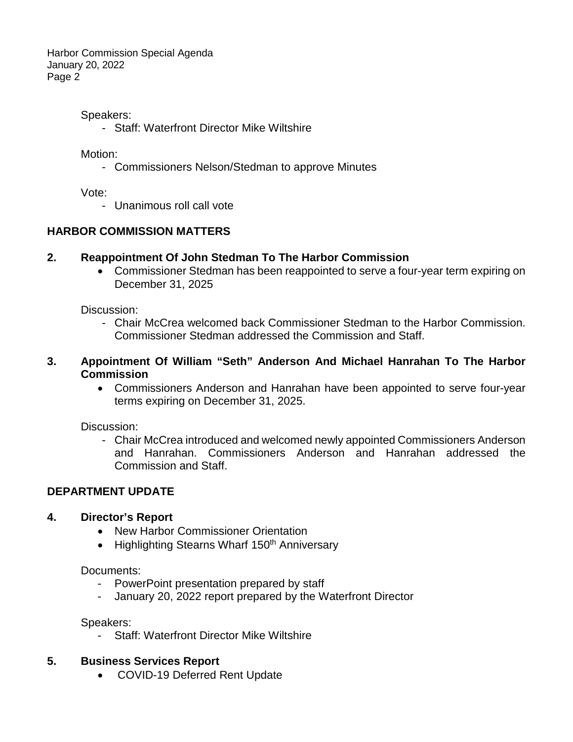Harbor Commission Special Agenda January 20, 2022 Page 2

#### Speakers:

- Staff: Waterfront Director Mike Wiltshire

Motion:

- Commissioners Nelson/Stedman to approve Minutes

Vote:

- Unanimous roll call vote

### **HARBOR COMMISSION MATTERS**

#### **2. Reappointment Of John Stedman To The Harbor Commission**

• Commissioner Stedman has been reappointed to serve a four-year term expiring on December 31, 2025

Discussion:

- Chair McCrea welcomed back Commissioner Stedman to the Harbor Commission. Commissioner Stedman addressed the Commission and Staff.

#### **3. Appointment Of William "Seth" Anderson And Michael Hanrahan To The Harbor Commission**

• Commissioners Anderson and Hanrahan have been appointed to serve four-year terms expiring on December 31, 2025.

Discussion:

- Chair McCrea introduced and welcomed newly appointed Commissioners Anderson and Hanrahan. Commissioners Anderson and Hanrahan addressed the Commission and Staff.

## **DEPARTMENT UPDATE**

#### **4. Director's Report**

- New Harbor Commissioner Orientation
- Highlighting Stearns Wharf 150<sup>th</sup> Anniversary

#### Documents:

- PowerPoint presentation prepared by staff
- January 20, 2022 report prepared by the Waterfront Director

Speakers:

Staff: Waterfront Director Mike Wiltshire

#### **5. Business Services Report**

• COVID-19 Deferred Rent Update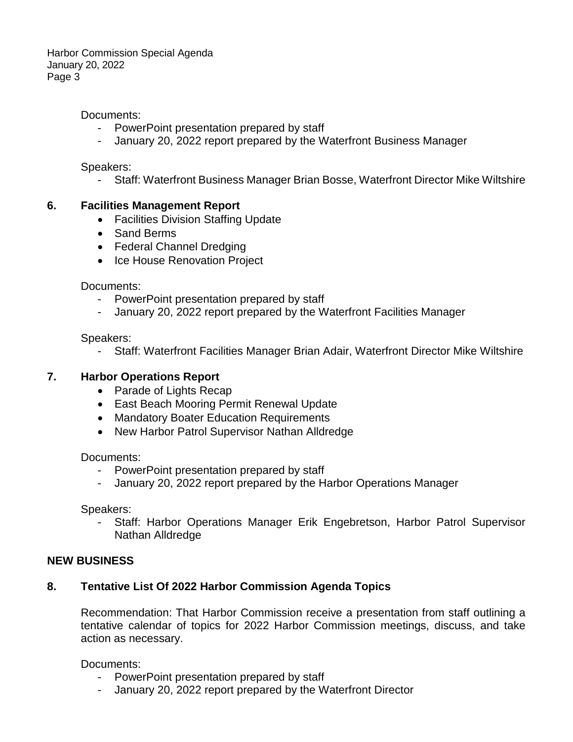Harbor Commission Special Agenda January 20, 2022 Page 3

Documents:

- PowerPoint presentation prepared by staff
- January 20, 2022 report prepared by the Waterfront Business Manager

Speakers:

- Staff: Waterfront Business Manager Brian Bosse, Waterfront Director Mike Wiltshire

#### **6. Facilities Management Report**

- Facilities Division Staffing Update
- Sand Berms
- Federal Channel Dredging
- Ice House Renovation Project

Documents:

- PowerPoint presentation prepared by staff
- January 20, 2022 report prepared by the Waterfront Facilities Manager

Speakers:

- Staff: Waterfront Facilities Manager Brian Adair, Waterfront Director Mike Wiltshire

#### **7. Harbor Operations Report**

- Parade of Lights Recap
- East Beach Mooring Permit Renewal Update
- Mandatory Boater Education Requirements
- New Harbor Patrol Supervisor Nathan Alldredge

Documents:

- PowerPoint presentation prepared by staff
- January 20, 2022 report prepared by the Harbor Operations Manager

Speakers:

- Staff: Harbor Operations Manager Erik Engebretson, Harbor Patrol Supervisor Nathan Alldredge

#### **NEW BUSINESS**

## **8. Tentative List Of 2022 Harbor Commission Agenda Topics**

Recommendation: That Harbor Commission receive a presentation from staff outlining a tentative calendar of topics for 2022 Harbor Commission meetings, discuss, and take action as necessary.

Documents:

- PowerPoint presentation prepared by staff
- January 20, 2022 report prepared by the Waterfront Director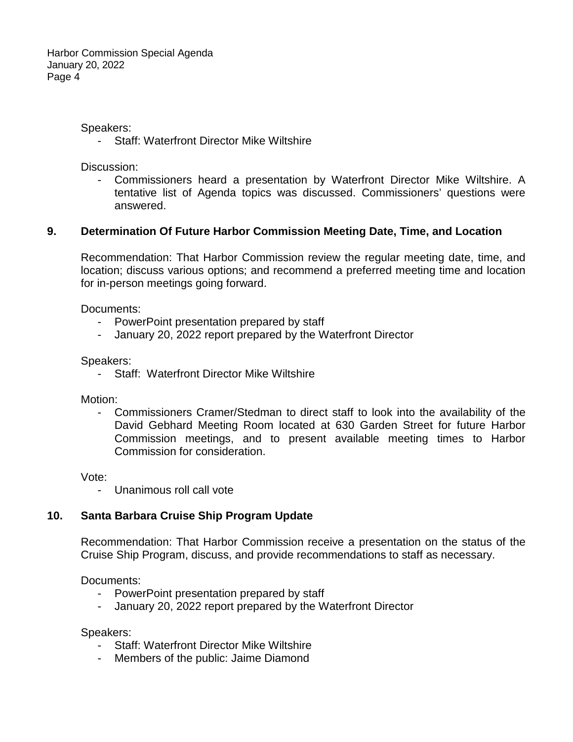Speakers:

- Staff: Waterfront Director Mike Wiltshire

Discussion:

- Commissioners heard a presentation by Waterfront Director Mike Wiltshire. A tentative list of Agenda topics was discussed. Commissioners' questions were answered.

### **9. Determination Of Future Harbor Commission Meeting Date, Time, and Location**

Recommendation: That Harbor Commission review the regular meeting date, time, and location; discuss various options; and recommend a preferred meeting time and location for in-person meetings going forward.

Documents:

- PowerPoint presentation prepared by staff
- January 20, 2022 report prepared by the Waterfront Director

Speakers:

- Staff: Waterfront Director Mike Wiltshire

Motion:

- Commissioners Cramer/Stedman to direct staff to look into the availability of the David Gebhard Meeting Room located at 630 Garden Street for future Harbor Commission meetings, and to present available meeting times to Harbor Commission for consideration.

Vote:

- Unanimous roll call vote

## **10. Santa Barbara Cruise Ship Program Update**

Recommendation: That Harbor Commission receive a presentation on the status of the Cruise Ship Program, discuss, and provide recommendations to staff as necessary.

Documents:

- PowerPoint presentation prepared by staff
- January 20, 2022 report prepared by the Waterfront Director

#### Speakers:

- Staff: Waterfront Director Mike Wiltshire
- Members of the public: Jaime Diamond